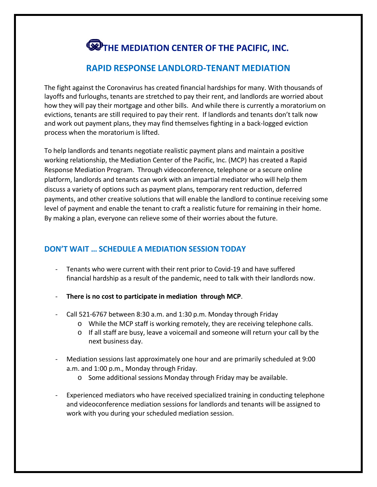# **THE MEDIATION CENTER OF THE PACIFIC, INC.**

## **RAPID RESPONSE LANDLORD-TENANT MEDIATION**

The fight against the Coronavirus has created financial hardships for many. With thousands of layoffs and furloughs, tenants are stretched to pay their rent, and landlords are worried about how they will pay their mortgage and other bills. And while there is currently a moratorium on evictions, tenants are still required to pay their rent. If landlords and tenants don't talk now and work out payment plans, they may find themselves fighting in a back-logged eviction process when the moratorium is lifted.

To help landlords and tenants negotiate realistic payment plans and maintain a positive working relationship, the Mediation Center of the Pacific, Inc. (MCP) has created a Rapid Response Mediation Program. Through videoconference, telephone or a secure online platform, landlords and tenants can work with an impartial mediator who will help them discuss a variety of options such as payment plans, temporary rent reduction, deferred payments, and other creative solutions that will enable the landlord to continue receiving some level of payment and enable the tenant to craft a realistic future for remaining in their home. By making a plan, everyone can relieve some of their worries about the future.

## **DON'T WAIT … SCHEDULE A MEDIATION SESSION TODAY**

- Tenants who were current with their rent prior to Covid-19 and have suffered financial hardship as a result of the pandemic, need to talk with their landlords now.
- **There is no cost to participate in mediation through MCP**.
- Call 521-6767 between 8:30 a.m. and 1:30 p.m. Monday through Friday
	- o While the MCP staff is working remotely, they are receiving telephone calls.
	- $\circ$  If all staff are busy, leave a voicemail and someone will return your call by the next business day.
- Mediation sessions last approximately one hour and are primarily scheduled at 9:00 a.m. and 1:00 p.m., Monday through Friday.
	- o Some additional sessions Monday through Friday may be available.
- Experienced mediators who have received specialized training in conducting telephone and videoconference mediation sessions for landlords and tenants will be assigned to work with you during your scheduled mediation session.